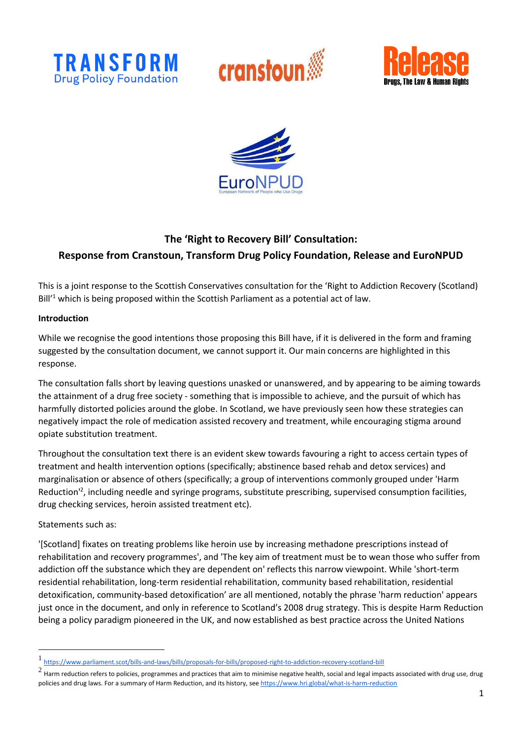







# **The 'Right to Recovery Bill' Consultation: Response from Cranstoun, Transform Drug Policy Foundation, Release and EuroNPUD**

This is a joint response to the Scottish Conservatives consultation for the 'Right to Addiction Recovery (Scotland)  $Bill^1$  which is being proposed within the Scottish Parliament as a potential act of law.

### **Introduction**

While we recognise the good intentions those proposing this Bill have, if it is delivered in the form and framing suggested by the consultation document, we cannot support it. Our main concerns are highlighted in this response.

The consultation falls short by leaving questions unasked or unanswered, and by appearing to be aiming towards the attainment of a drug free society - something that is impossible to achieve, and the pursuit of which has harmfully distorted policies around the globe. In Scotland, we have previously seen how these strategies can negatively impact the role of medication assisted recovery and treatment, while encouraging stigma around opiate substitution treatment.

Throughout the consultation text there is an evident skew towards favouring a right to access certain types of treatment and health intervention options (specifically; abstinence based rehab and detox services) and marginalisation or absence of others (specifically; a group of interventions commonly grouped under 'Harm Reduction<sup>12</sup>, including needle and syringe programs, substitute prescribing, supervised consumption facilities, drug checking services, heroin assisted treatment etc).

Statements such as:

'[Scotland] fixates on treating problems like heroin use by increasing methadone prescriptions instead of rehabilitation and recovery programmes', and 'The key aim of treatment must be to wean those who suffer from addiction off the substance which they are dependent on' reflects this narrow viewpoint. While 'short-term residential rehabilitation, long-term residential rehabilitation, community based rehabilitation, residential detoxification, community-based detoxification' are all mentioned, notably the phrase 'harm reduction' appears just once in the document, and only in reference to Scotland's 2008 drug strategy. This is despite Harm Reduction being a policy paradigm pioneered in the UK, and now established as best practice across the United Nations

<sup>1</sup> <https://www.parliament.scot/bills-and-laws/bills/proposals-for-bills/proposed-right-to-addiction-recovery-scotland-bill>

<sup>2</sup> Harm reduction refers to policies, programmes and practices that aim to minimise negative health, social and legal impacts associated with drug use, drug policies and drug laws. For a summary of Harm Reduction, and its history, se[e https://www.hri.global/what-is-harm-reduction](https://www.hri.global/what-is-harm-reduction)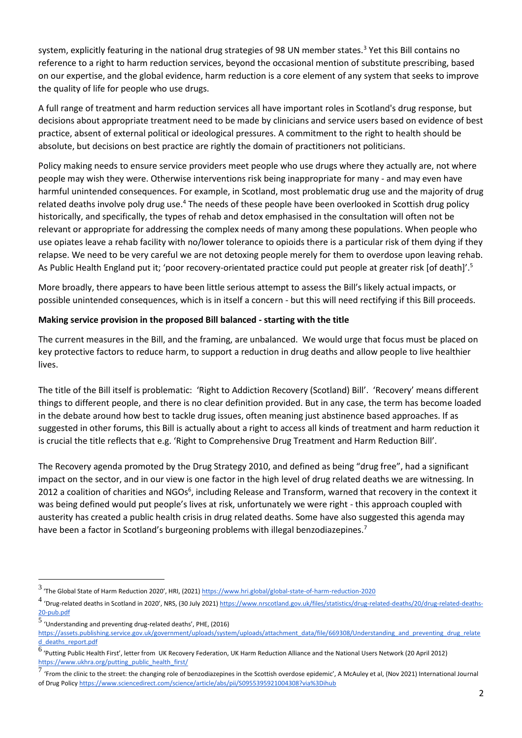system, explicitly featuring in the national drug strategies of 98 UN member states.<sup>3</sup> Yet this Bill contains no reference to a right to harm reduction services, beyond the occasional mention of substitute prescribing, based on our expertise, and the global evidence, harm reduction is a core element of any system that seeks to improve the quality of life for people who use drugs.

A full range of treatment and harm reduction services all have important roles in Scotland's drug response, but decisions about appropriate treatment need to be made by clinicians and service users based on evidence of best practice, absent of external political or ideological pressures. A commitment to the right to health should be absolute, but decisions on best practice are rightly the domain of practitioners not politicians.

Policy making needs to ensure service providers meet people who use drugs where they actually are, not where people may wish they were. Otherwise interventions risk being inappropriate for many - and may even have harmful unintended consequences. For example, in Scotland, most problematic drug use and the majority of drug related deaths involve poly drug use.<sup>4</sup> The needs of these people have been overlooked in Scottish drug policy historically, and specifically, the types of rehab and detox emphasised in the consultation will often not be relevant or appropriate for addressing the complex needs of many among these populations. When people who use opiates leave a rehab facility with no/lower tolerance to opioids there is a particular risk of them dying if they relapse. We need to be very careful we are not detoxing people merely for them to overdose upon leaving rehab. As Public Health England put it; 'poor recovery-orientated practice could put people at greater risk [of death]'.<sup>5</sup>

More broadly, there appears to have been little serious attempt to assess the Bill's likely actual impacts, or possible unintended consequences, which is in itself a concern - but this will need rectifying if this Bill proceeds.

### **Making service provision in the proposed Bill balanced - starting with the title**

The current measures in the Bill, and the framing, are unbalanced. We would urge that focus must be placed on key protective factors to reduce harm, to support a reduction in drug deaths and allow people to live healthier lives.

The title of the Bill itself is problematic: 'Right to Addiction Recovery (Scotland) Bill'. 'Recovery' means different things to different people, and there is no clear definition provided. But in any case, the term has become loaded in the debate around how best to tackle drug issues, often meaning just abstinence based approaches. If as suggested in other forums, this Bill is actually about a right to access all kinds of treatment and harm reduction it is crucial the title reflects that e.g. 'Right to Comprehensive Drug Treatment and Harm Reduction Bill'.

The Recovery agenda promoted by the Drug Strategy 2010, and defined as being "drug free", had a significant impact on the sector, and in our view is one factor in the high level of drug related deaths we are witnessing. In 2012 a coalition of charities and NGOs<sup>6</sup>, including Release and Transform, warned that recovery in the context it was being defined would put people's lives at risk, unfortunately we were right - this approach coupled with austerity has created a public health crisis in drug related deaths. Some have also suggested this agenda may have been a factor in Scotland's burgeoning problems with illegal benzodiazepines.<sup>7</sup>

<sup>3&</sup>lt;br>The Global State of Harm Reduction 2020', HRI, (2021) <https://www.hri.global/global-state-of-harm-reduction-2020>'

<sup>&</sup>lt;sup>4</sup> 'Drug-related deaths in Scotland in 2020', NRS, (30 July 2021) [https://www.nrscotland.gov.uk/files/statistics/drug-related-deaths/20/drug-related-deaths-](https://www.nrscotland.gov.uk/files/statistics/drug-related-deaths/20/drug-related-deaths-20-pub.pdf)[20-pub.pdf](https://www.nrscotland.gov.uk/files/statistics/drug-related-deaths/20/drug-related-deaths-20-pub.pdf)

<sup>5</sup> 'Understanding and preventing drug-related deaths', PHE, (2016)

[https://assets.publishing.service.gov.uk/government/uploads/system/uploads/attachment\\_data/file/669308/Understanding\\_and\\_preventing\\_drug\\_relate](https://assets.publishing.service.gov.uk/government/uploads/system/uploads/attachment_data/file/669308/Understanding_and_preventing_drug_related_deaths_report.pdf) d deaths report.pdf

<sup>6</sup> 'Putting Public Health First', letter from UK Recovery Federation, UK Harm Reduction Alliance and the National Users Network (20 April 2012) [https://www.ukhra.org/putting\\_public\\_health\\_first/](https://www.ukhra.org/putting_public_health_first/)

<sup>7</sup> 'From the clinic to the street: the changing role of benzodiazepines in the Scottish overdose epidemic', A McAuley et al, (Nov 2021) International Journal of Drug Polic[y https://www.sciencedirect.com/science/article/abs/pii/S0955395921004308?via%3Dihub](https://www.sciencedirect.com/science/article/abs/pii/S0955395921004308?via%3Dihub)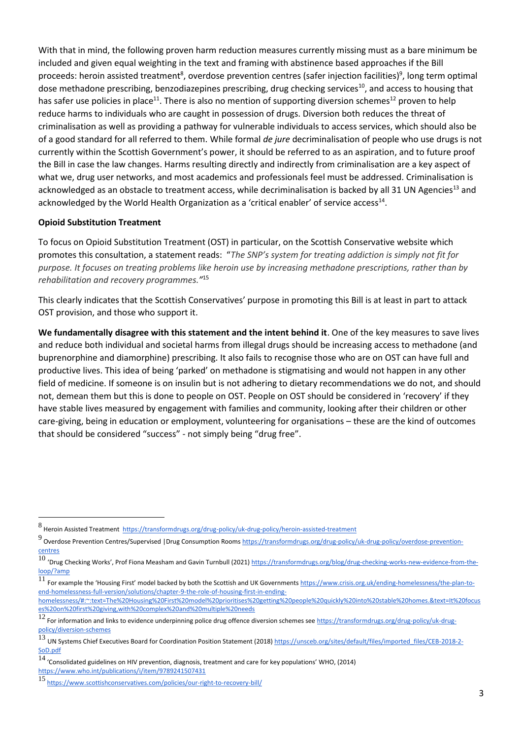With that in mind, the following proven harm reduction measures currently missing must as a bare minimum be included and given equal weighting in the text and framing with abstinence based approaches if the Bill proceeds: heroin assisted treatment<sup>8</sup>, overdose prevention centres (safer injection facilities)<sup>9</sup>, long term optimal dose methadone prescribing, benzodiazepines prescribing, drug checking services<sup>10</sup>, and access to housing that has safer use policies in place<sup>11</sup>. There is also no mention of supporting diversion schemes<sup>12</sup> proven to help reduce harms to individuals who are caught in possession of drugs. Diversion both reduces the threat of criminalisation as well as providing a pathway for vulnerable individuals to access services, which should also be of a good standard for all referred to them. While formal *de jure* decriminalisation of people who use drugs is not currently within the Scottish Government's power, it should be referred to as an aspiration, and to future proof the Bill in case the law changes. Harms resulting directly and indirectly from criminalisation are a key aspect of what we, drug user networks, and most academics and professionals feel must be addressed. Criminalisation is acknowledged as an obstacle to treatment access, while decriminalisation is backed by all 31 UN Agencies<sup>13</sup> and acknowledged by the World Health Organization as a 'critical enabler' of service access<sup>14</sup>.

#### **Opioid Substitution Treatment**

To focus on Opioid Substitution Treatment (OST) in particular, on the Scottish Conservative website which promotes this consultation, a statement reads: "*The SNP's system for treating addiction is simply not fit for purpose. It focuses on treating problems like heroin use by increasing methadone prescriptions, rather than by rehabilitation and recovery programmes."* 15

This clearly indicates that the Scottish Conservatives' purpose in promoting this Bill is at least in part to attack OST provision, and those who support it.

**We fundamentally disagree with this statement and the intent behind it**. One of the key measures to save lives and reduce both individual and societal harms from illegal drugs should be increasing access to methadone (and buprenorphine and diamorphine) prescribing. It also fails to recognise those who are on OST can have full and productive lives. This idea of being 'parked' on methadone is stigmatising and would not happen in any other field of medicine. If someone is on insulin but is not adhering to dietary recommendations we do not, and should not, demean them but this is done to people on OST. People on OST should be considered in 'recovery' if they have stable lives measured by engagement with families and community, looking after their children or other care-giving, being in education or employment, volunteering for organisations – these are the kind of outcomes that should be considered "success" - not simply being "drug free".

<sup>8&</sup>lt;br>BHeroin Assisted Treatment <https://transformdrugs.org/drug-policy/uk-drug-policy/heroin-assisted-treatment> & H

<sup>&</sup>lt;sup>9</sup> Overdose Prevention Centres/Supervised |Drug Consumption Rooms <u>https://transformdrugs.org/drug-policy/uk-drug-policy/overdose-prevention-</u> [centres](https://transformdrugs.org/drug-policy/uk-drug-policy/overdose-prevention-centres)

<sup>10 &#</sup>x27;Drug Checking Works', Prof Fiona Measham and Gavin Turnbull (2021) https://transformdrugs.org/blog/drug-checking-works-new-evidence-from-the-<br>10 'Drug Checking Works', Prof Fiona Measham and Gavin Turnbull (2021) https [loop/?amp](https://transformdrugs.org/blog/drug-checking-works-new-evidence-from-the-loop/?amp)

<sup>&</sup>lt;sup>11</sup> For example the 'Housing First' model backed by both the Scottish and UK Governments [https://www.crisis.org.uk/ending-homelessness/the-plan-to](https://www.crisis.org.uk/ending-homelessness/the-plan-to-end-homelessness-full-version/solutions/chapter-9-the-role-of-housing-first-in-ending-homelessness/#:~:text=The%2520Housing%2520First%2520model%2520prioritises%2520getting%2520people%2520quickly%2520into%2520stable%2520homes.&text=It%2520focuses%2520on%2520first%2520giving,with%2520complex%2520and%2520multiple%2520needs)[end-homelessness-full-version/solutions/chapter-9-the-role-of-housing-first-in-ending-](https://www.crisis.org.uk/ending-homelessness/the-plan-to-end-homelessness-full-version/solutions/chapter-9-the-role-of-housing-first-in-ending-homelessness/#:~:text=The%2520Housing%2520First%2520model%2520prioritises%2520getting%2520people%2520quickly%2520into%2520stable%2520homes.&text=It%2520focuses%2520on%2520first%2520giving,with%2520complex%2520and%2520multiple%2520needs)

[homelessness/#:~:text=The%20Housing%20First%20model%20prioritises%20getting%20people%20quickly%20into%20stable%20homes.&text=It%20focus](https://www.crisis.org.uk/ending-homelessness/the-plan-to-end-homelessness-full-version/solutions/chapter-9-the-role-of-housing-first-in-ending-homelessness/#:~:text=The%2520Housing%2520First%2520model%2520prioritises%2520getting%2520people%2520quickly%2520into%2520stable%2520homes.&text=It%2520focuses%2520on%2520first%2520giving,with%2520complex%2520and%2520multiple%2520needs) [es%20on%20first%20giving,with%20complex%20and%20multiple%20needs](https://www.crisis.org.uk/ending-homelessness/the-plan-to-end-homelessness-full-version/solutions/chapter-9-the-role-of-housing-first-in-ending-homelessness/#:~:text=The%2520Housing%2520First%2520model%2520prioritises%2520getting%2520people%2520quickly%2520into%2520stable%2520homes.&text=It%2520focuses%2520on%2520first%2520giving,with%2520complex%2520and%2520multiple%2520needs)

<sup>12</sup> For information and links to evidence underpinning police drug offence diversion schemes se[e https://transformdrugs.org/drug-policy/uk-drug](https://transformdrugs.org/drug-policy/uk-drug-policy/diversion-schemes)[policy/diversion-schemes](https://transformdrugs.org/drug-policy/uk-drug-policy/diversion-schemes)<br>13 .... Sustants Chief Fues

UN Systems Chief Executives Board for Coordination Position Statement (2018[\) https://unsceb.org/sites/default/files/imported\\_files/CEB-2018-2-](https://unsceb.org/sites/default/files/imported_files/CEB-2018-2-SoD.pdf) [SoD.pdf](https://unsceb.org/sites/default/files/imported_files/CEB-2018-2-SoD.pdf)

 $14$  'Consolidated guidelines on HIV prevention, diagnosis, treatment and care for key populations' WHO, (2014)

<https://www.who.int/publications/i/item/9789241507431>

<sup>15</sup> <https://www.scottishconservatives.com/policies/our-right-to-recovery-bill/>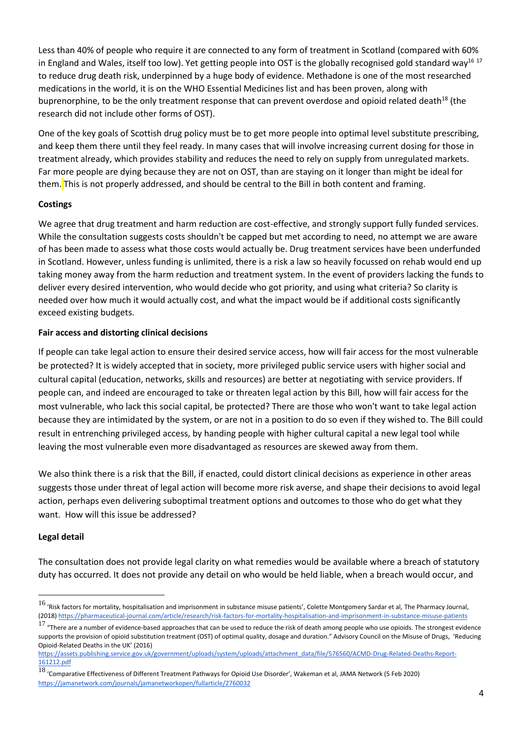Less than 40% of people who require it are connected to any form of treatment in Scotland (compared with 60% in England and Wales, itself too low). Yet getting people into OST is the globally recognised gold standard way $^{16}$   $^{17}$ to reduce drug death risk, underpinned by a huge body of evidence. Methadone is one of the most researched medications in the world, it is on the WHO Essential Medicines list and has been proven, along with buprenorphine, to be the only treatment response that can prevent overdose and opioid related death<sup>18</sup> (the research did not include other forms of OST).

One of the key goals of Scottish drug policy must be to get more people into optimal level substitute prescribing, and keep them there until they feel ready. In many cases that will involve increasing current dosing for those in treatment already, which provides stability and reduces the need to rely on supply from unregulated markets. Far more people are dying because they are not on OST, than are staying on it longer than might be ideal for them. This is not properly addressed, and should be central to the Bill in both content and framing.

### **Costings**

We agree that drug treatment and harm reduction are cost-effective, and strongly support fully funded services. While the consultation suggests costs shouldn't be capped but met according to need, no attempt we are aware of has been made to assess what those costs would actually be. Drug treatment services have been underfunded in Scotland. However, unless funding is unlimited, there is a risk a law so heavily focussed on rehab would end up taking money away from the harm reduction and treatment system. In the event of providers lacking the funds to deliver every desired intervention, who would decide who got priority, and using what criteria? So clarity is needed over how much it would actually cost, and what the impact would be if additional costs significantly exceed existing budgets.

### **Fair access and distorting clinical decisions**

If people can take legal action to ensure their desired service access, how will fair access for the most vulnerable be protected? It is widely accepted that in society, more privileged public service users with higher social and cultural capital (education, networks, skills and resources) are better at negotiating with service providers. If people can, and indeed are encouraged to take or threaten legal action by this Bill, how will fair access for the most vulnerable, who lack this social capital, be protected? There are those who won't want to take legal action because they are intimidated by the system, or are not in a position to do so even if they wished to. The Bill could result in entrenching privileged access, by handing people with higher cultural capital a new legal tool while leaving the most vulnerable even more disadvantaged as resources are skewed away from them.

We also think there is a risk that the Bill, if enacted, could distort clinical decisions as experience in other areas suggests those under threat of legal action will become more risk averse, and shape their decisions to avoid legal action, perhaps even delivering suboptimal treatment options and outcomes to those who do get what they want. How will this issue be addressed?

## **Legal detail**

The consultation does not provide legal clarity on what remedies would be available where a breach of statutory duty has occurred. It does not provide any detail on who would be held liable, when a breach would occur, and

 $^{16}$  'Risk factors for mortality, hospitalisation and imprisonment in substance misuse patients', Colette Montgomery Sardar et al, The Pharmacy Journal, (2018[\) https://pharmaceutical-journal.com/article/research/risk-factors-for-mortality-hospitalisation-and-imprisonment-in-substance-misuse-patients](https://pharmaceutical-journal.com/article/research/risk-factors-for-mortality-hospitalisation-and-imprisonment-in-substance-misuse-patients)

 $^{17}$  "There are a number of evidence-based approaches that can be used to reduce the risk of death among people who use opioids. The strongest evidence supports the provision of opioid substitution treatment (OST) of optimal quality, dosage and duration." Advisory Council on the Misuse of Drugs, 'Reducing Opioid-Related Deaths in the UK' (2016)

[https://assets.publishing.service.gov.uk/government/uploads/system/uploads/attachment\\_data/file/576560/ACMD-Drug-Related-Deaths-Report-](https://assets.publishing.service.gov.uk/government/uploads/system/uploads/attachment_data/file/576560/ACMD-Drug-Related-Deaths-Report-161212.pdf)[161212.pdf](https://assets.publishing.service.gov.uk/government/uploads/system/uploads/attachment_data/file/576560/ACMD-Drug-Related-Deaths-Report-161212.pdf)

 $^{18}$  'Comparative Effectiveness of Different Treatment Pathways for Opioid Use Disorder', Wakeman et al, JAMA Network (5 Feb 2020) <https://jamanetwork.com/journals/jamanetworkopen/fullarticle/2760032>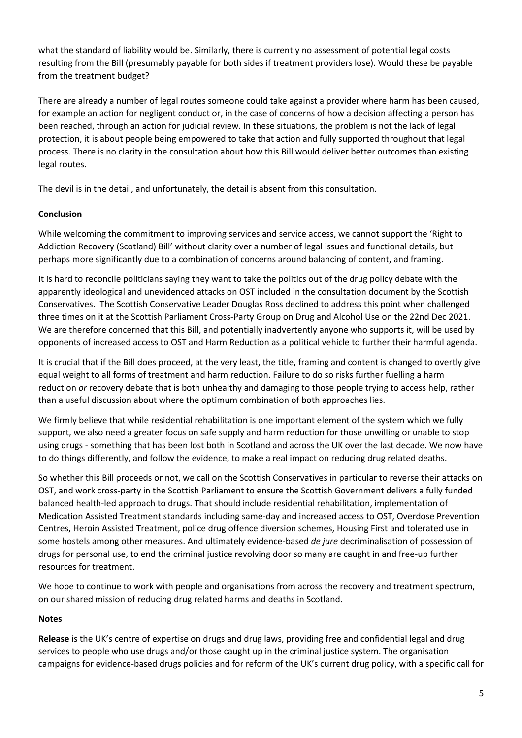what the standard of liability would be. Similarly, there is currently no assessment of potential legal costs resulting from the Bill (presumably payable for both sides if treatment providers lose). Would these be payable from the treatment budget?

There are already a number of legal routes someone could take against a provider where harm has been caused, for example an action for negligent conduct or, in the case of concerns of how a decision affecting a person has been reached, through an action for judicial review. In these situations, the problem is not the lack of legal protection, it is about people being empowered to take that action and fully supported throughout that legal process. There is no clarity in the consultation about how this Bill would deliver better outcomes than existing legal routes.

The devil is in the detail, and unfortunately, the detail is absent from this consultation.

## **Conclusion**

While welcoming the commitment to improving services and service access, we cannot support the 'Right to Addiction Recovery (Scotland) Bill' without clarity over a number of legal issues and functional details, but perhaps more significantly due to a combination of concerns around balancing of content, and framing.

It is hard to reconcile politicians saying they want to take the politics out of the drug policy debate with the apparently ideological and unevidenced attacks on OST included in the consultation document by the Scottish Conservatives. The Scottish Conservative Leader Douglas Ross declined to address this point when challenged three times on it at the Scottish Parliament Cross-Party Group on Drug and Alcohol Use on the 22nd Dec 2021. We are therefore concerned that this Bill, and potentially inadvertently anyone who supports it, will be used by opponents of increased access to OST and Harm Reduction as a political vehicle to further their harmful agenda.

It is crucial that if the Bill does proceed, at the very least, the title, framing and content is changed to overtly give equal weight to all forms of treatment and harm reduction. Failure to do so risks further fuelling a harm reduction *or* recovery debate that is both unhealthy and damaging to those people trying to access help, rather than a useful discussion about where the optimum combination of both approaches lies.

We firmly believe that while residential rehabilitation is one important element of the system which we fully support, we also need a greater focus on safe supply and harm reduction for those unwilling or unable to stop using drugs - something that has been lost both in Scotland and across the UK over the last decade. We now have to do things differently, and follow the evidence, to make a real impact on reducing drug related deaths.

So whether this Bill proceeds or not, we call on the Scottish Conservatives in particular to reverse their attacks on OST, and work cross-party in the Scottish Parliament to ensure the Scottish Government delivers a fully funded balanced health-led approach to drugs. That should include residential rehabilitation, implementation of Medication Assisted Treatment standards including same-day and increased access to OST, Overdose Prevention Centres, Heroin Assisted Treatment, police drug offence diversion schemes, Housing First and tolerated use in some hostels among other measures. And ultimately evidence-based *de jure* decriminalisation of possession of drugs for personal use, to end the criminal justice revolving door so many are caught in and free-up further resources for treatment.

We hope to continue to work with people and organisations from across the recovery and treatment spectrum, on our shared mission of reducing drug related harms and deaths in Scotland.

### **Notes**

**Release** is the UK's centre of expertise on drugs and drug laws, providing free and confidential legal and drug services to people who use drugs and/or those caught up in the criminal justice system. The organisation campaigns for evidence-based drugs policies and for reform of the UK's current drug policy, with a specific call for